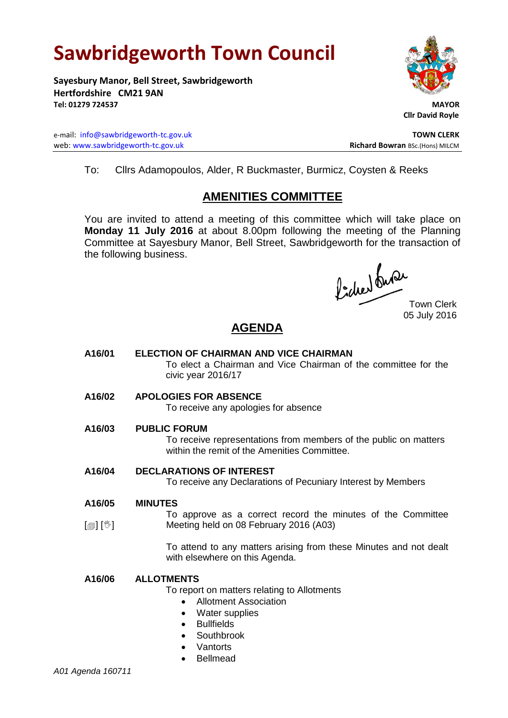# **Sawbridgeworth Town Council**

**Sayesbury Manor, Bell Street, Sawbridgeworth Hertfordshire CM21 9AN Tel: 01279 724537 MAYOR**

e-mail: [info@sawbridgeworth-tc.gov.uk](mailto:info@sawbridgeworth-tc.gov.uk) **TOWN CLERK** web: www.sawbridgeworth-tc.gov.uk<br>
Richard Bowran BSc.(Hons) MILCM



 **Cllr David Royle**

To: Cllrs Adamopoulos, Alder, R Buckmaster, Burmicz, Coysten & Reeks

# **AMENITIES COMMITTEE**

You are invited to attend a meeting of this committee which will take place on **Monday 11 July 2016** at about 8.00pm following the meeting of the Planning Committee at Sayesbury Manor, Bell Street, Sawbridgeworth for the transaction of the following business.

fidee bude

Town Clerk 05 July 2016

# **AGENDA**

**A16/01 ELECTION OF CHAIRMAN AND VICE CHAIRMAN** To elect a Chairman and Vice Chairman of the committee for the civic year 2016/17 **A16/02 APOLOGIES FOR ABSENCE** To receive any apologies for absence **A16/03 PUBLIC FORUM**

> To receive representations from members of the public on matters within the remit of the Amenities Committee.

### **A16/04 DECLARATIONS OF INTEREST**

To receive any Declarations of Pecuniary Interest by Members

#### **A16/05 MINUTES**

 $\lceil$  [ $\mathbb{I}$ ]  $\lceil \mathbb{V} \rceil$ To approve as a correct record the minutes of the Committee Meeting held on 08 February 2016 (A03)

> To attend to any matters arising from these Minutes and not dealt with elsewhere on this Agenda.

### **A16/06 ALLOTMENTS**

To report on matters relating to Allotments

- Allotment Association
- Water supplies
- Bullfields
- **Southbrook**
- **Vantorts**
- Bellmead